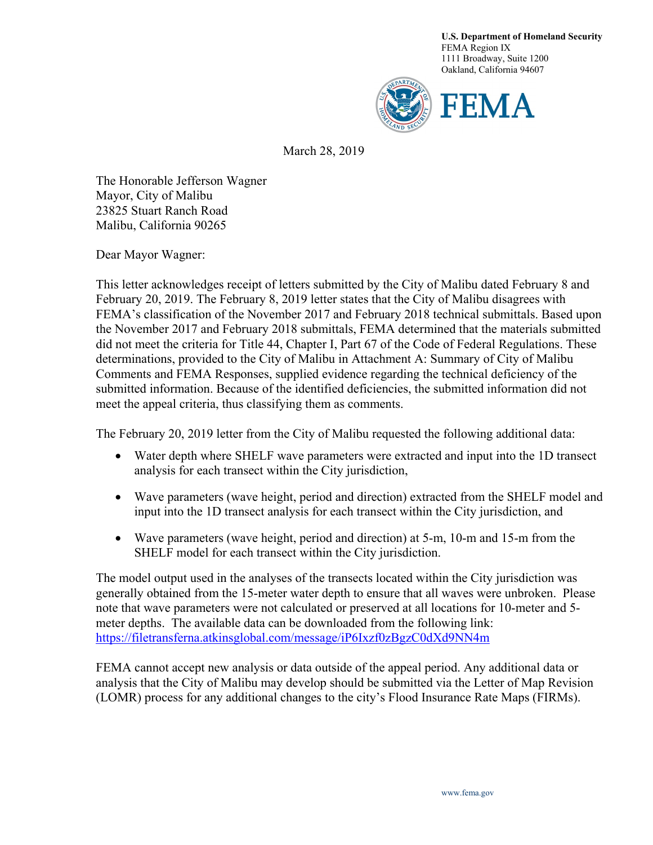**U.S. Department of Homeland Security** FEMA Region IX 1111 Broadway, Suite 1200 Oakland, California 94607



March 28, 2019

The Honorable Jefferson Wagner Mayor, City of Malibu 23825 Stuart Ranch Road Malibu, California 90265

Dear Mayor Wagner:

This letter acknowledges receipt of letters submitted by the City of Malibu dated February 8 and February 20, 2019. The February 8, 2019 letter states that the City of Malibu disagrees with FEMA's classification of the November 2017 and February 2018 technical submittals. Based upon the November 2017 and February 2018 submittals, FEMA determined that the materials submitted did not meet the criteria for Title 44, Chapter I, Part 67 of the Code of Federal Regulations. These determinations, provided to the City of Malibu in Attachment A: Summary of City of Malibu Comments and FEMA Responses, supplied evidence regarding the technical deficiency of the submitted information. Because of the identified deficiencies, the submitted information did not meet the appeal criteria, thus classifying them as comments.

The February 20, 2019 letter from the City of Malibu requested the following additional data:

- Water depth where SHELF wave parameters were extracted and input into the 1D transect analysis for each transect within the City jurisdiction,
- Wave parameters (wave height, period and direction) extracted from the SHELF model and input into the 1D transect analysis for each transect within the City jurisdiction, and
- Wave parameters (wave height, period and direction) at 5-m, 10-m and 15-m from the SHELF model for each transect within the City jurisdiction.

The model output used in the analyses of the transects located within the City jurisdiction was generally obtained from the 15-meter water depth to ensure that all waves were unbroken. Please note that wave parameters were not calculated or preserved at all locations for 10-meter and 5 meter depths. The available data can be downloaded from the following link: <https://filetransferna.atkinsglobal.com/message/iP6Ixzf0zBgzC0dXd9NN4m>

FEMA cannot accept new analysis or data outside of the appeal period. Any additional data or analysis that the City of Malibu may develop should be submitted via the Letter of Map Revision (LOMR) process for any additional changes to the city's Flood Insurance Rate Maps (FIRMs).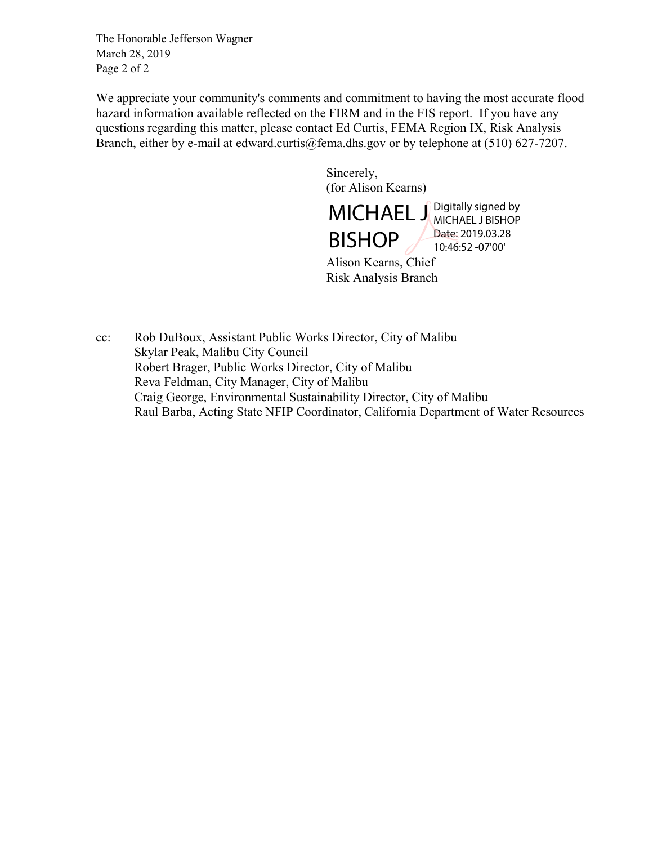The Honorable Jefferson Wagner March 28, 2019 Page 2 of 2

We appreciate your community's comments and commitment to having the most accurate flood hazard information available reflected on the FIRM and in the FIS report. If you have any questions regarding this matter, please contact Ed Curtis, FEMA Region IX, Risk Analysis Branch, either by e-mail at edward.curtis@fema.dhs.gov or by telephone at  $(510)$  627-7207.

> Sincerely, (for Alison Kearns)

MICHAEL J Digitally signed by BISHOP MICHAEL J BISHOP Date: 2019.03.28 10:46:52 -07'00'

Alison Kearns, Chief Risk Analysis Branch

cc: Rob DuBoux, Assistant Public Works Director, City of Malibu Skylar Peak, Malibu City Council Robert Brager, Public Works Director, City of Malibu Reva Feldman, City Manager, City of Malibu Craig George, Environmental Sustainability Director, City of Malibu Raul Barba, Acting State NFIP Coordinator, California Department of Water Resources